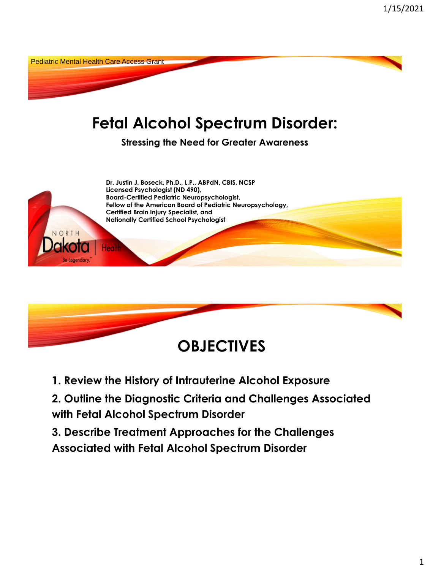



**1. Review the History of Intrauterine Alcohol Exposure**

**2. Outline the Diagnostic Criteria and Challenges Associated with Fetal Alcohol Spectrum Disorder**

**3. Describe Treatment Approaches for the Challenges Associated with Fetal Alcohol Spectrum Disorder**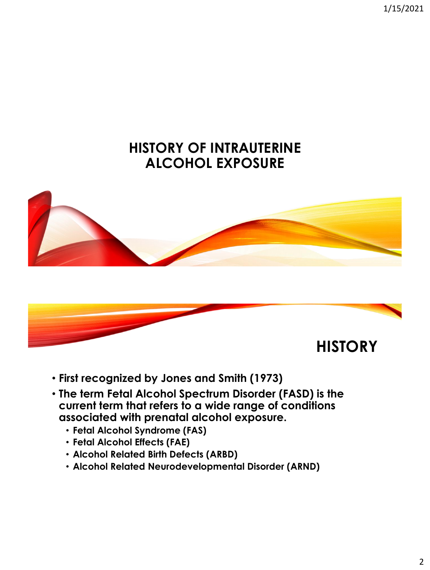1/15/2021

### **HISTORY OF INTRAUTERINE ALCOHOL EXPOSURE**





- **First recognized by Jones and Smith (1973)**
- **The term Fetal Alcohol Spectrum Disorder (FASD) is the current term that refers to a wide range of conditions associated with prenatal alcohol exposure.** 
	- **Fetal Alcohol Syndrome (FAS)**
	- **Fetal Alcohol Effects (FAE)**
	- **Alcohol Related Birth Defects (ARBD)**
	- **Alcohol Related Neurodevelopmental Disorder (ARND)**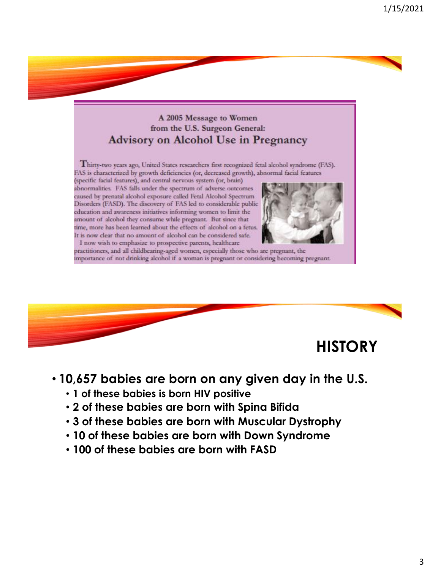#### A 2005 Message to Women from the U.S. Surgeon General: **Advisory on Alcohol Use in Pregnancy**

Thirty-two years ago, United States researchers first recognized fetal alcohol syndrome (FAS). FAS is characterized by growth deficiencies (or, decreased growth), abnormal facial features

(specific facial features), and central nervous system (or, brain) abnormalities. FAS falls under the spectrum of adverse outcomes caused by prenatal alcohol exposure called Fetal Alcohol Spectrum Disorders (FASD). The discovery of FAS led to considerable public education and awareness initiatives informing women to limit the amount of alcohol they consume while pregnant. But since that time, more has been learned about the effects of alcohol on a fetus. It is now clear that no amount of alcohol can be considered safe. I now wish to emphasize to prospective parents, healthcare



practitioners, and all childbearing-aged women, especially those who are pregnant, the importance of not drinking alcohol if a woman is pregnant or considering becoming pregnant.



#### • **10,657 babies are born on any given day in the U.S.**

- **1 of these babies is born HIV positive**
- **2 of these babies are born with Spina Bifida**
- **3 of these babies are born with Muscular Dystrophy**
- **10 of these babies are born with Down Syndrome**
- **100 of these babies are born with FASD**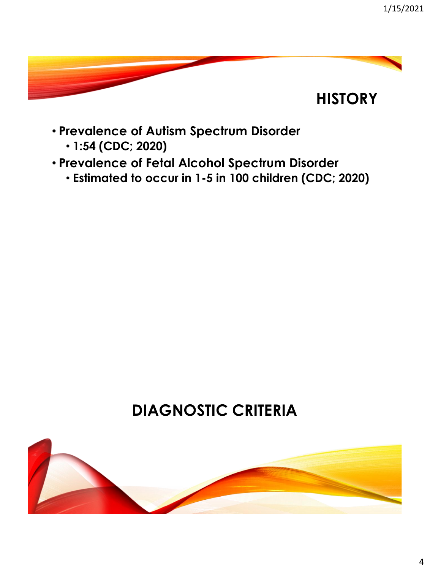

- **Prevalence of Autism Spectrum Disorder**
	- **1:54 (CDC; 2020)**
- **Prevalence of Fetal Alcohol Spectrum Disorder**
	- **Estimated to occur in 1-5 in 100 children (CDC; 2020)**

# **DIAGNOSTIC CRITERIA**

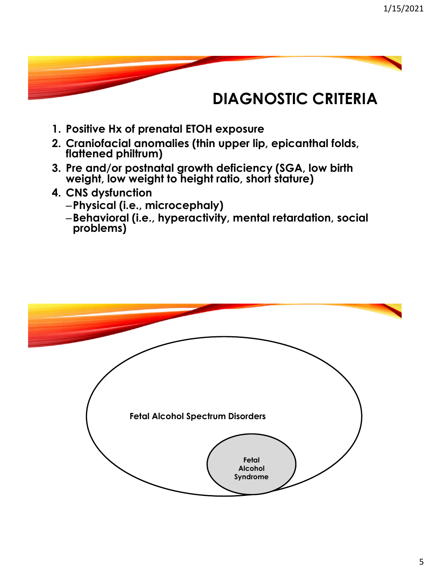## **DIAGNOSTIC CRITERIA**

- **1. Positive Hx of prenatal ETOH exposure**
- **2. Craniofacial anomalies (thin upper lip, epicanthal folds, flattened philtrum)**
- **3. Pre and/or postnatal growth deficiency (SGA, low birth weight, low weight to height ratio, short stature)**
- **4. CNS dysfunction**
	- –**Physical (i.e., microcephaly)**
	- –**Behavioral (i.e., hyperactivity, mental retardation, social problems)**

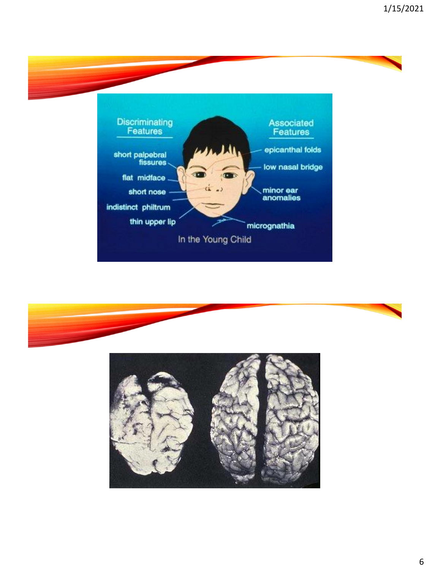



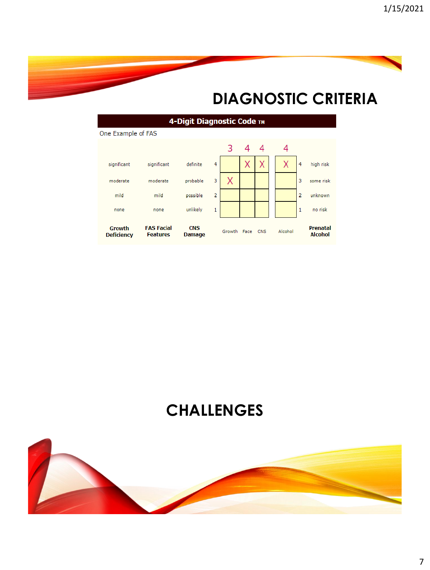## **DIAGNOSTIC CRITERIA**





## **CHALLENGES**

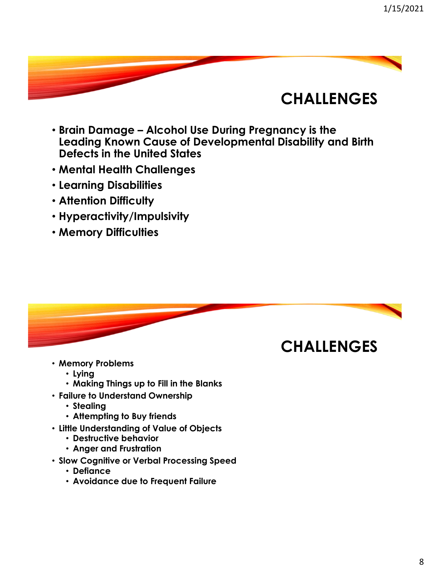## **CHALLENGES**

- **Brain Damage – Alcohol Use During Pregnancy is the Leading Known Cause of Developmental Disability and Birth Defects in the United States**
- **Mental Health Challenges**
- **Learning Disabilities**
- **Attention Difficulty**
- **Hyperactivity/Impulsivity**
- **Memory Difficulties**



- **Memory Problems**
	- **Lying**
	- **Making Things up to Fill in the Blanks**
- **Failure to Understand Ownership**
	- **Stealing**
	- **Attempting to Buy friends**
- **Little Understanding of Value of Objects**
	- **Destructive behavior**
	- **Anger and Frustration**
- **Slow Cognitive or Verbal Processing Speed**
	- **Defiance**
	- **Avoidance due to Frequent Failure**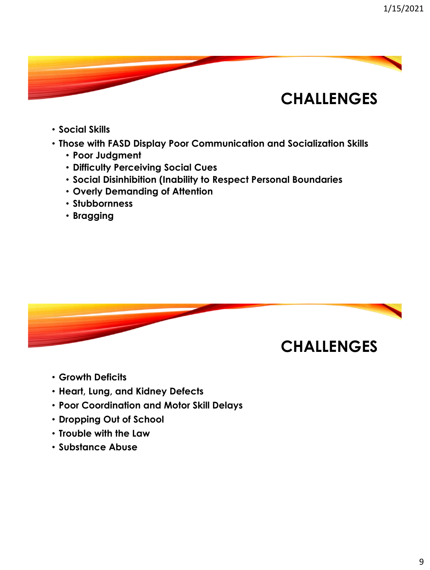## **CHALLENGES**

- **Social Skills**
- **Those with FASD Display Poor Communication and Socialization Skills**
	- **Poor Judgment**
	- **Difficulty Perceiving Social Cues**
	- **Social Disinhibition (Inability to Respect Personal Boundaries**
	- **Overly Demanding of Attention**
	- **Stubbornness**
	- **Bragging**



- **Growth Deficits**
- **Heart, Lung, and Kidney Defects**
- **Poor Coordination and Motor Skill Delays**
- **Dropping Out of School**
- **Trouble with the Law**
- **Substance Abuse**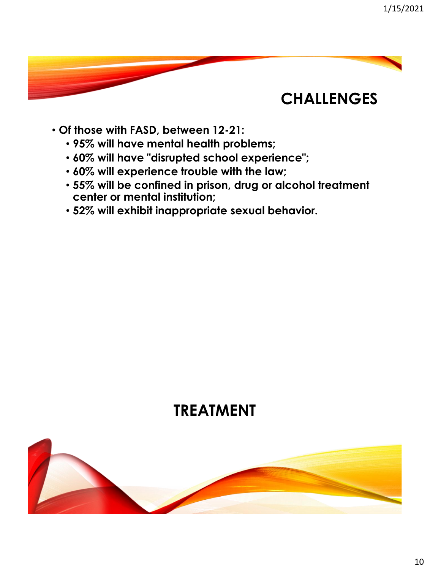## **CHALLENGES**

- **Of those with FASD, between 12-21:** 
	- **95% will have mental health problems;**
	- **60% will have "disrupted school experience";**
	- **60% will experience trouble with the law;**
	- **55% will be confined in prison, drug or alcohol treatment center or mental institution;**
	- **52% will exhibit inappropriate sexual behavior.**

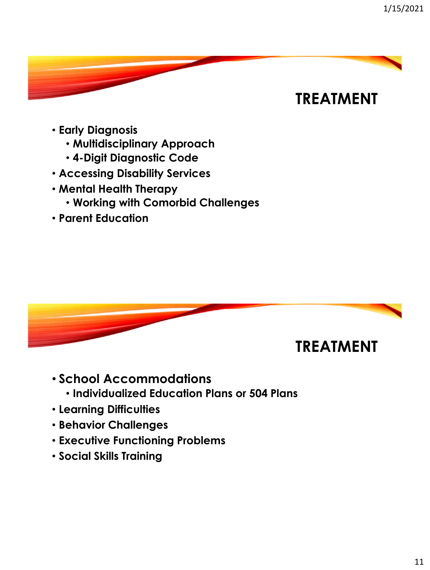- **Early Diagnosis**
	- **Multidisciplinary Approach**
	- **4-Digit Diagnostic Code**
- **Accessing Disability Services**
- **Mental Health Therapy**
	- **Working with Comorbid Challenges**
- **Parent Education**



- **School Accommodations** 
	- **Individualized Education Plans or 504 Plans**
- **Learning Difficulties**
- **Behavior Challenges**
- **Executive Functioning Problems**
- **Social Skills Training**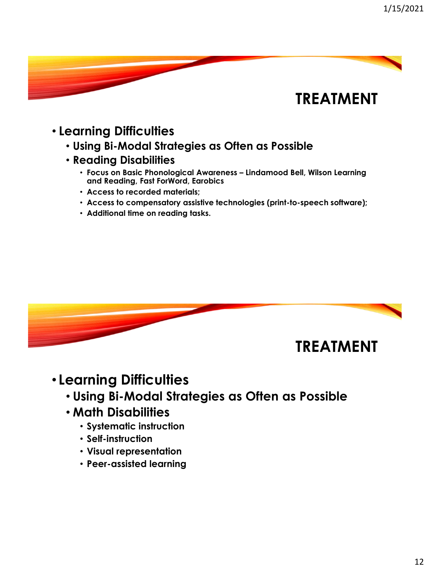- **Learning Difficulties**
	- **Using Bi-Modal Strategies as Often as Possible**
	- **Reading Disabilities**
		- **Focus on Basic Phonological Awareness – Lindamood Bell, Wilson Learning and Reading, Fast ForWord, Earobics**
		- **Access to recorded materials;**
		- **Access to compensatory assistive technologies (print-to-speech software);**
		- **Additional time on reading tasks.**



- **Learning Difficulties**
	- **Using Bi-Modal Strategies as Often as Possible**
	- **Math Disabilities**
		- **Systematic instruction**
		- **Self-instruction**
		- **Visual representation**
		- **Peer-assisted learning**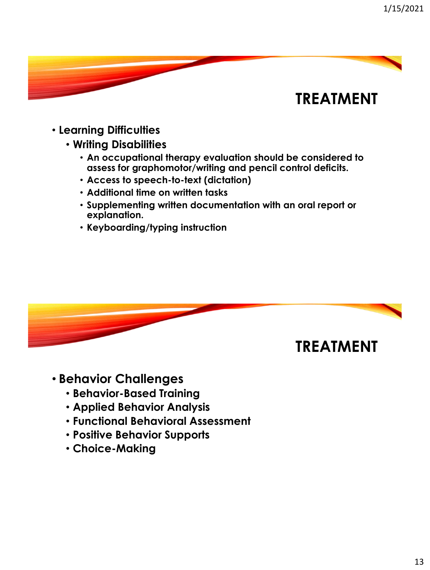- **Learning Difficulties**
	- **Writing Disabilities**
		- **An occupational therapy evaluation should be considered to assess for graphomotor/writing and pencil control deficits.**
		- **Access to speech-to-text (dictation)**
		- **Additional time on written tasks**
		- **Supplementing written documentation with an oral report or explanation.**
		- **Keyboarding/typing instruction**



- **Behavior Challenges**
	- **Behavior-Based Training**
	- **Applied Behavior Analysis**
	- **Functional Behavioral Assessment**
	- **Positive Behavior Supports**
	- **Choice-Making**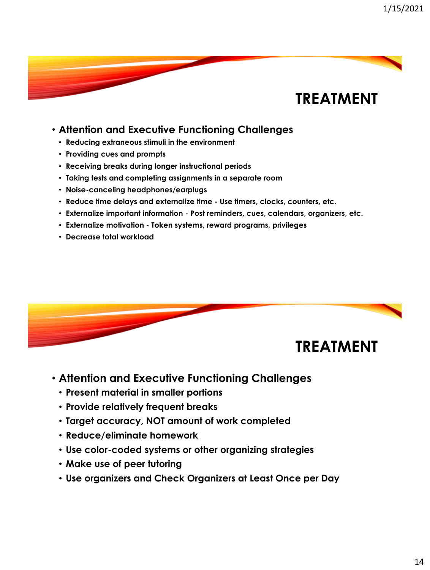#### • **Attention and Executive Functioning Challenges**

- **Reducing extraneous stimuli in the environment**
- **Providing cues and prompts**
- **Receiving breaks during longer instructional periods**
- **Taking tests and completing assignments in a separate room**
- **Noise-canceling headphones/earplugs**
- **Reduce time delays and externalize time - Use timers, clocks, counters, etc.**
- **Externalize important information - Post reminders, cues, calendars, organizers, etc.**
- **Externalize motivation - Token systems, reward programs, privileges**
- **Decrease total workload**



- **Attention and Executive Functioning Challenges**
	- **Present material in smaller portions**
	- **Provide relatively frequent breaks**
	- **Target accuracy, NOT amount of work completed**
	- **Reduce/eliminate homework**
	- **Use color-coded systems or other organizing strategies**
	- **Make use of peer tutoring**
	- **Use organizers and Check Organizers at Least Once per Day**